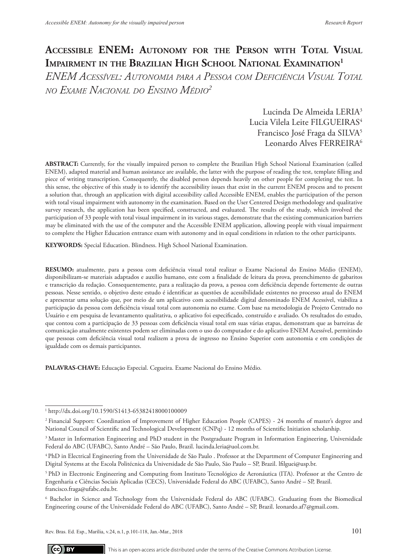# **ACCESSIBLE ENEM:** AUTONOMY FOR THE PERSON WITH TOTAL VISUAL **Impairment in the Brazilian High School National Examination1**

*ENEM Acessível: Autonomia para <sup>a</sup> Pessoa com Deficiência Visual Total* seres humanos. Brasília, DF; 2012. [cited 2014 Jan 12]. Available from: *no Exame Nacional do Ensino Médio2* de urgência. Texto Contexto Enferm. 2011[cited 2014 Nov 03];20(spe):156 com deficiencia visual 1 otal  $\frac{1}{2}$ vejm Acessivel; Autonomia para a . EXAME INACIONAL DO ENSINO I

> Lucinda De Almeida LERIA<sup>3</sup> Edenia De Annexa EDICA<br>Lucia Vilela Leite FILGUEIRAS<sup>4</sup> Francisco José Fraga da SILVA<sup>5</sup> Leonardo Alves FERREIRA<sup>6</sup> Lucia Vilela Leite FILGUEIRAS<sup>4</sup> Leonardo Alves FERREIRA<sup>.</sup>

**ABSTRACT:** Currently, for the visually impaired person to complete the Brazilian High School National Examination (called ENEM), adapted material and human assistance are available, the latter with the purpose of reading the test, template filling and extent), stappied material and numan assistance are available, the latter with the purpose of reading the test, template minig and<br>piece of writing transcription. Consequently, the disabled person depends heavily on other this sense, the objective of this study is to identify the accessibility issues that exist in the current ENEM process and to present a solution that, through an application with digital accessibility called Accessible ENEM, enables the participation of the person with total visual impairment with autonomy in the examination. Based on the User Centered Design methodology and qualitative survey research, the application has been specified, constructed, and evaluated. The results of the study, which involved the participation of 33 people with total visual impairment in its various stages, demonstrate that the existing communication barriers may be eliminated with the use of the computer and the Accessible ENEM application, allowing people with visual impairment to complete the Higher Education entrance exam with autonomy and in equal conditions in relation to the other participants. of writing transcription. Consequently, the disabled person depends heavily on other people for completing the test. In **I RAC I:** Currently, for the visually impaired person to coi

**KEYWORDS:** Special Education. Blindness. High School National Examination. 1972-1977. New York: Pantheon; 1980. w ORDO: Opeelal Edileation. Dimentos. 1 hyp. School i vationa

**RESUMO:** atualmente, para a pessoa com deficiência visual total realizar o Exame Nacional do Ensino Médio (ENEM), disponibilizam-se materiais adaptados e auxílio humano, este com a finalidade de leitura da prova, preenchimento de gabaritos e transcrição da redação. Consequentemente, para a realização da prova, a pessoa com deficiência depende fortemente de outras pessoas. Nesse sentido, o objetivo deste estudo é identificar as questões de acessibilidade existentes no processo atual do ENEM e apresentar uma solução que, por meio de um aplicativo com acessibilidade digital denominado ENEM Acessível, viabiliza a participação da pessoa com deficiência visual total com autonomia no exame. Com base na metodologia de Projeto Centrado no Usuário e em pesquisa de levantamento qualitativa, o aplicativo foi especificado, construído e avaliado. Os resultados do estudo, que contou com a participação de 33 pessoas com deficiência visual total em suas várias etapas, demonstram que as barreiras de comunicação atualmente existentes podem ser eliminadas com o uso do computador e do aplicativo ENEM Acessível, permitindo que pessoas com deficiência visual total realizem a prova de ingresso no Ensino Superior com autonomia e em condições de igualdade com os demais participantes.

**PALAVRAS-CHAVE:** Educação Especial. Cegueira. Exame Nacional do Ensino Médio.

2 Financial Support: Coordination of Improvement of Higher Education People (CAPES) - 24 months of master's degree and National Council of Scientific and Technological Development (CNPq) - 12 months of Scientific Initiation scholarship.

4 PhD in Electrical Engineering from the Universidade de São Paulo . Professor at the Department of Computer Engineering and Digital Systems at the Escola Politécnica da Universidade de São Paulo, São Paulo – SP, Brazil. lfilguei@usp.br.



This is an open-access article distributed under the terms of the Creative Commons Attribution License.

<sup>1</sup> http://dx.doi.org/10.1590/S1413-65382418000100009

<sup>&</sup>lt;sup>3</sup> Master in Information Engineering and PhD student in the Postgraduate Program in Information Engineering, Universidade Federal do ABC (UFABC), Santo André – São Paulo, Brazil. lucinda.leria@uol.com.br.

<sup>5</sup> PhD in Electronic Engineering and Computing from Instituto Tecnológico de Aeronáutica (ITA). Professor at the Centro de Engenharia e Ciências Sociais Aplicadas (CECS), Universidade Federal do ABC (UFABC), Santo André – SP, Brazil. francisco.fraga@ufabc.edu.br.

<sup>6</sup> Bachelor in Science and Technology from the Universidade Federal do ABC (UFABC). Graduating from the Biomedical Engineering course of the Universidade Federal do ABC (UFABC), Santo André – SP, Brazil. leonardo.af7@gmail.com.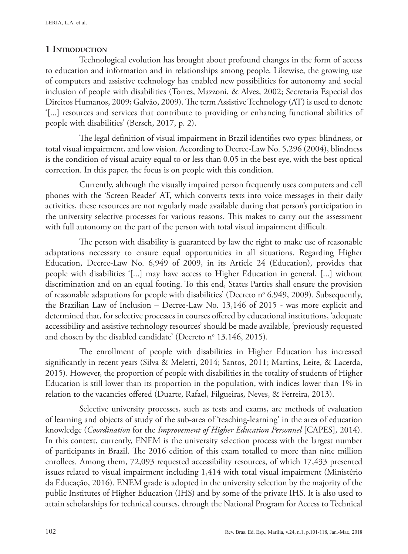# **1 Introduction**

Technological evolution has brought about profound changes in the form of access to education and information and in relationships among people. Likewise, the growing use of computers and assistive technology has enabled new possibilities for autonomy and social inclusion of people with disabilities (Torres, Mazzoni, & Alves, 2002; Secretaria Especial dos Direitos Humanos, 2009; Galvão, 2009). The term Assistive Technology (AT) is used to denote '[...] resources and services that contribute to providing or enhancing functional abilities of people with disabilities' (Bersch, 2017, p. 2).

The legal definition of visual impairment in Brazil identifies two types: blindness, or total visual impairment, and low vision. According to Decree-Law No. 5,296 (2004), blindness is the condition of visual acuity equal to or less than 0.05 in the best eye, with the best optical correction. In this paper, the focus is on people with this condition.

Currently, although the visually impaired person frequently uses computers and cell phones with the 'Screen Reader' AT, which converts texts into voice messages in their daily activities, these resources are not regularly made available during that person's participation in the university selective processes for various reasons. This makes to carry out the assessment with full autonomy on the part of the person with total visual impairment difficult.

The person with disability is guaranteed by law the right to make use of reasonable adaptations necessary to ensure equal opportunities in all situations. Regarding Higher Education, Decree-Law No. 6,949 of 2009, in its Article 24 (Education), provides that people with disabilities '[...] may have access to Higher Education in general, [...] without discrimination and on an equal footing. To this end, States Parties shall ensure the provision of reasonable adaptations for people with disabilities' (Decreto nº 6.949, 2009). Subsequently, the Brazilian Law of Inclusion – Decree-Law No. 13,146 of 2015 - was more explicit and determined that, for selective processes in courses offered by educational institutions, 'adequate accessibility and assistive technology resources' should be made available, 'previously requested and chosen by the disabled candidate' (Decreto nº 13.146, 2015).

The enrollment of people with disabilities in Higher Education has increased significantly in recent years (Silva & Meletti, 2014; Santos, 2011; Martins, Leite, & Lacerda, 2015). However, the proportion of people with disabilities in the totality of students of Higher Education is still lower than its proportion in the population, with indices lower than 1% in relation to the vacancies offered (Duarte, Rafael, Filgueiras, Neves, & Ferreira, 2013).

Selective university processes, such as tests and exams, are methods of evaluation of learning and objects of study of the sub-area of 'teaching-learning' in the area of education knowledge (*Coordination* for the *Improvement of Higher Education Personnel* [CAPES], 2014). In this context, currently, ENEM is the university selection process with the largest number of participants in Brazil. The 2016 edition of this exam totalled to more than nine million enrollees. Among them, 72,093 requested accessibility resources, of which 17,433 presented issues related to visual impairment including 1,414 with total visual impairment (Ministério da Educação, 2016). ENEM grade is adopted in the university selection by the majority of the public Institutes of Higher Education (IHS) and by some of the private IHS. It is also used to attain scholarships for technical courses, through the National Program for Access to Technical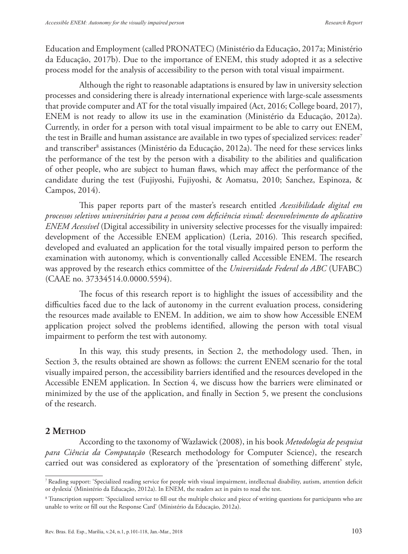Education and Employment (called PRONATEC) (Ministério da Educação, 2017a; Ministério da Educação, 2017b). Due to the importance of ENEM, this study adopted it as a selective process model for the analysis of accessibility to the person with total visual impairment.

Although the right to reasonable adaptations is ensured by law in university selection processes and considering there is already international experience with large-scale assessments that provide computer and AT for the total visually impaired (Act, 2016; College board, 2017), ENEM is not ready to allow its use in the examination (Ministério da Educação, 2012a). Currently, in order for a person with total visual impairment to be able to carry out ENEM, the test in Braille and human assistance are available in two types of specialized services: reader<sup>7</sup> and transcriber<sup>8</sup> assistances (Ministério da Educação, 2012a). The need for these services links the performance of the test by the person with a disability to the abilities and qualification of other people, who are subject to human flaws, which may affect the performance of the candidate during the test (Fujiyoshi, Fujiyoshi, & Aomatsu, 2010; Sanchez, Espinoza, & Campos, 2014).

This paper reports part of the master's research entitled *Acessibilidade digital em processos seletivos universitários para a pessoa com deficiência visual: desenvolvimento do aplicativo ENEM Acessível* (Digital accessibility in university selective processes for the visually impaired: development of the Accessible ENEM application) (Leria, 2016)*.* This research specified, developed and evaluated an application for the total visually impaired person to perform the examination with autonomy, which is conventionally called Accessible ENEM. The research was approved by the research ethics committee of the *Universidade Federal do ABC* (UFABC) (CAAE no. 37334514.0.0000.5594).

The focus of this research report is to highlight the issues of accessibility and the difficulties faced due to the lack of autonomy in the current evaluation process, considering the resources made available to ENEM. In addition, we aim to show how Accessible ENEM application project solved the problems identified, allowing the person with total visual impairment to perform the test with autonomy.

In this way, this study presents, in Section 2, the methodology used. Then, in Section 3, the results obtained are shown as follows: the current ENEM scenario for the total visually impaired person, the accessibility barriers identified and the resources developed in the Accessible ENEM application. In Section 4, we discuss how the barriers were eliminated or minimized by the use of the application, and finally in Section 5, we present the conclusions of the research.

#### 2 METHOD

According to the taxonomy of Wazlawick (2008), in his book *Metodologia de pesquisa para Ciência da Computação* (Research methodology for Computer Science), the research carried out was considered as exploratory of the 'presentation of something different' style,

<sup>7</sup> Reading support: 'Specialized reading service for people with visual impairment, intellectual disability, autism, attention deficit or dyslexia' (Ministério da Educação, 2012a). In ENEM, the readers act in pairs to read the test.

<sup>8</sup> Transcription support: 'Specialized service to fill out the multiple choice and piece of writing questions for participants who are unable to write or fill out the Response Card' (Ministério da Educação, 2012a).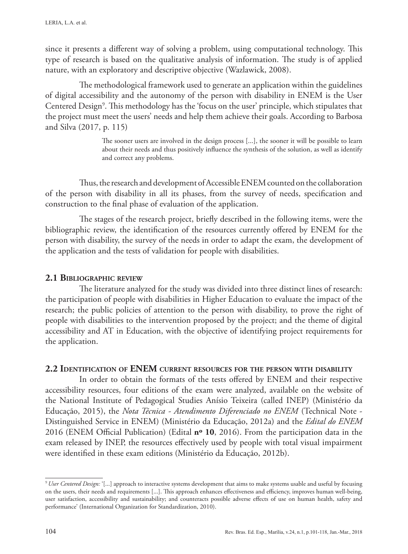since it presents a different way of solving a problem, using computational technology. This type of research is based on the qualitative analysis of information. The study is of applied nature, with an exploratory and descriptive objective (Wazlawick, 2008).

The methodological framework used to generate an application within the guidelines of digital accessibility and the autonomy of the person with disability in ENEM is the User Centered Design<sup>9</sup>. This methodology has the 'focus on the user' principle, which stipulates that the project must meet the users' needs and help them achieve their goals. According to Barbosa and Silva (2017, p. 115)

> The sooner users are involved in the design process [...], the sooner it will be possible to learn about their needs and thus positively influence the synthesis of the solution, as well as identify and correct any problems.

Thus, the research and development of Accessible ENEM counted on the collaboration of the person with disability in all its phases, from the survey of needs, specification and construction to the final phase of evaluation of the application.

The stages of the research project, briefly described in the following items, were the bibliographic review, the identification of the resources currently offered by ENEM for the person with disability, the survey of the needs in order to adapt the exam, the development of the application and the tests of validation for people with disabilities.

## **2.1 Bibliographic review**

The literature analyzed for the study was divided into three distinct lines of research: the participation of people with disabilities in Higher Education to evaluate the impact of the research; the public policies of attention to the person with disability, to prove the right of people with disabilities to the intervention proposed by the project; and the theme of digital accessibility and AT in Education, with the objective of identifying project requirements for the application.

## **2.2 Identification of ENEM current resources for the person with disability**

In order to obtain the formats of the tests offered by ENEM and their respective accessibility resources, four editions of the exam were analyzed, available on the website of the National Institute of Pedagogical Studies Anísio Teixeira (called INEP) (Ministério da Educação, 2015), the *Nota Técnica - Atendimento Diferenciado no ENEM* (Technical Note - Distinguished Service in ENEM) (Ministério da Educação, 2012a) and the *Edital do ENEM*  2016 (ENEM Official Publication) (Edital **nº 10**, 2016). From the participation data in the exam released by INEP, the resources effectively used by people with total visual impairment were identified in these exam editions (Ministério da Educação, 2012b).

<sup>9</sup>*User Centered Design:* '[...] approach to interactive systems development that aims to make systems usable and useful by focusing on the users, their needs and requirements [...]. This approach enhances effectiveness and efficiency, improves human well-being, user satisfaction, accessibility and sustainability; and counteracts possible adverse effects of use on human health, safety and performance' (International Organization for Standardization, 2010).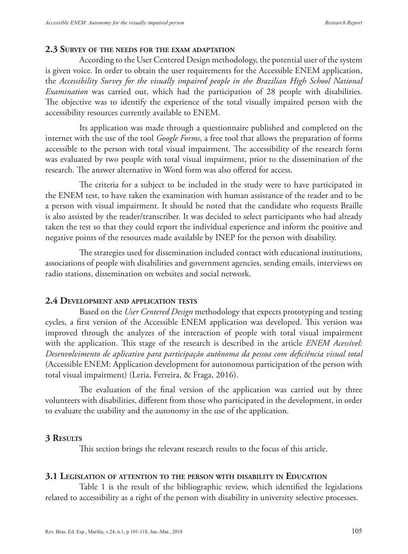#### **2.3 Survey of the needs for the exam adaptation**

According to the User Centered Design methodology, the potential user of the system is given voice. In order to obtain the user requirements for the Accessible ENEM application, the *Accessibility Survey for the visually impaired people in the Brazilian High School National Examination* was carried out, which had the participation of 28 people with disabilities. The objective was to identify the experience of the total visually impaired person with the accessibility resources currently available to ENEM.

Its application was made through a questionnaire published and completed on the internet with the use of the tool *Google Forms*, a free tool that allows the preparation of forms accessible to the person with total visual impairment. The accessibility of the research form was evaluated by two people with total visual impairment, prior to the dissemination of the research. The answer alternative in Word form was also offered for access.

The criteria for a subject to be included in the study were to have participated in the ENEM test, to have taken the examination with human assistance of the reader and to be a person with visual impairment. It should be noted that the candidate who requests Braille is also assisted by the reader/transcriber. It was decided to select participants who had already taken the test so that they could report the individual experience and inform the positive and negative points of the resources made available by INEP for the person with disability.

The strategies used for dissemination included contact with educational institutions, associations of people with disabilities and government agencies, sending emails, interviews on radio stations, dissemination on websites and social network.

#### **2.4 Development and application tests**

Based on the *User Centered Design* methodology that expects prototyping and testing cycles, a first version of the Accessible ENEM application was developed. This version was improved through the analyzes of the interaction of people with total visual impairment with the application. This stage of the research is described in the article *ENEM Acessível: Desenvolvimento de aplicativo para participação autônoma da pessoa com deficiência visual total* (Accessible ENEM: Application development for autonomous participation of the person with total visual impairment) (Leria, Ferreira, & Fraga, 2016).

The evaluation of the final version of the application was carried out by three volunteers with disabilities, different from those who participated in the development, in order to evaluate the usability and the autonomy in the use of the application.

#### **3 Results**

This section brings the relevant research results to the focus of this article.

#### **3.1 Legislation of attention to the person with disability in Education**

Table 1 is the result of the bibliographic review, which identified the legislations related to accessibility as a right of the person with disability in university selective processes.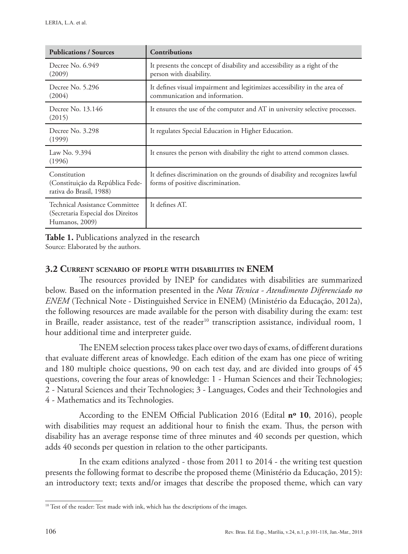| <b>Publications / Sources</b>                                                          | <b>Contributions</b>                                                                                              |
|----------------------------------------------------------------------------------------|-------------------------------------------------------------------------------------------------------------------|
| Decree No. 6.949<br>(2009)                                                             | It presents the concept of disability and accessibility as a right of the<br>person with disability.              |
| Decree No. 5.296<br>(2004)                                                             | It defines visual impairment and legitimizes accessibility in the area of<br>communication and information.       |
| Decree No. 13.146<br>(2015)                                                            | It ensures the use of the computer and AT in university selective processes.                                      |
| Decree No. 3.298<br>(1999)                                                             | It regulates Special Education in Higher Education.                                                               |
| Law No. 9.394<br>(1996)                                                                | It ensures the person with disability the right to attend common classes.                                         |
| Constitution<br>(Constituição da República Fede-<br>rativa do Brasil, 1988)            | It defines discrimination on the grounds of disability and recognizes lawful<br>forms of positive discrimination. |
| Technical Assistance Committee<br>(Secretaria Especial dos Direitos)<br>Humanos, 2009) | It defines AT.                                                                                                    |

**Table 1.** Publications analyzed in the research Source: Elaborated by the authors.

# **3.2 Current scenario of people with disabilities in ENEM**

The resources provided by INEP for candidates with disabilities are summarized below. Based on the information presented in the *Nota Técnica - Atendimento Diferenciado no ENEM* (Technical Note - Distinguished Service in ENEM) (Ministério da Educação, 2012a), the following resources are made available for the person with disability during the exam: test in Braille, reader assistance, test of the reader<sup>10</sup> transcription assistance, individual room, 1 hour additional time and interpreter guide.

The ENEM selection process takes place over two days of exams, of different durations that evaluate different areas of knowledge. Each edition of the exam has one piece of writing and 180 multiple choice questions, 90 on each test day, and are divided into groups of 45 questions, covering the four areas of knowledge: 1 - Human Sciences and their Technologies; 2 - Natural Sciences and their Technologies; 3 - Languages, Codes and their Technologies and 4 - Mathematics and its Technologies.

According to the ENEM Official Publication 2016 (Edital **nº 10**, 2016), people with disabilities may request an additional hour to finish the exam. Thus, the person with disability has an average response time of three minutes and 40 seconds per question, which adds 40 seconds per question in relation to the other participants.

In the exam editions analyzed - those from 2011 to 2014 - the writing test question presents the following format to describe the proposed theme (Ministério da Educação, 2015): an introductory text; texts and/or images that describe the proposed theme, which can vary

<sup>&</sup>lt;sup>10</sup> Test of the reader: Test made with ink, which has the descriptions of the images.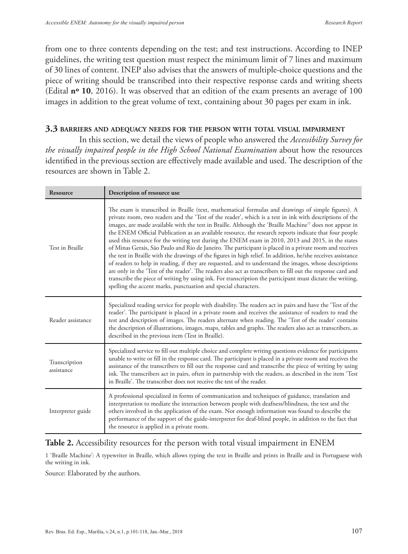from one to three contents depending on the test; and test instructions. According to INEP guidelines, the writing test question must respect the minimum limit of 7 lines and maximum of 30 lines of content. INEP also advises that the answers of multiple-choice questions and the piece of writing should be transcribed into their respective response cards and writing sheets (Edital **nº 10**, 2016). It was observed that an edition of the exam presents an average of 100 images in addition to the great volume of text, containing about 30 pages per exam in ink.

#### **3.3 barriers and adequacy needs for the person with total visual impairment**

In this section, we detail the views of people who answered the *Accessibility Survey for the visually impaired people in the High School National Examination* about how the resources identified in the previous section are effectively made available and used. The description of the resources are shown in Table 2.

| <b>Resource</b>             | Description of resource use                                                                                                                                                                                                                                                                                                                                                                                                                                                                                                                                                                                                                                                                                                                                                                                                                                                                                                                                                                                                                                                                                                                                                              |
|-----------------------------|------------------------------------------------------------------------------------------------------------------------------------------------------------------------------------------------------------------------------------------------------------------------------------------------------------------------------------------------------------------------------------------------------------------------------------------------------------------------------------------------------------------------------------------------------------------------------------------------------------------------------------------------------------------------------------------------------------------------------------------------------------------------------------------------------------------------------------------------------------------------------------------------------------------------------------------------------------------------------------------------------------------------------------------------------------------------------------------------------------------------------------------------------------------------------------------|
| Test in Braille             | The exam is transcribed in Braille (text, mathematical formulas and drawings of simple figures). A<br>private room, two readers and the 'Test of the reader', which is a test in ink with descriptions of the<br>images, are made available with the test in Braille. Although the 'Braille Machine' <sup>1</sup> does not appear in<br>the ENEM Official Publication as an available resource, the research reports indicate that four people<br>used this resource for the writing test during the ENEM exam in 2010, 2013 and 2015, in the states<br>of Minas Gerais, São Paulo and Rio de Janeiro. The participant is placed in a private room and receives<br>the test in Braille with the drawings of the figures in high relief. In addition, he/she receives assistance<br>of readers to help in reading, if they are requested, and to understand the images, whose descriptions<br>are only in the 'Test of the reader'. The readers also act as transcribers to fill out the response card and<br>transcribe the piece of writing by using ink. For transcription the participant must dictate the writing,<br>spelling the accent marks, punctuation and special characters. |
| Reader assistance           | Specialized reading service for people with disability. The readers act in pairs and have the 'Test of the<br>reader'. The participant is placed in a private room and receives the assistance of readers to read the<br>test and description of images. The readers alternate when reading. The 'Test of the reader' contains<br>the description of illustrations, images, maps, tables and graphs. The readers also act as transcribers, as<br>described in the previous item (Test in Braille).                                                                                                                                                                                                                                                                                                                                                                                                                                                                                                                                                                                                                                                                                       |
| Transcription<br>assistance | Specialized service to fill out multiple choice and complete writing questions evidence for participants<br>unable to write or fill in the response card. The participant is placed in a private room and receives the<br>assistance of the transcribers to fill out the response card and transcribe the piece of writing by using<br>ink. The transcribers act in pairs, often in partnership with the readers, as described in the item 'Test<br>in Braille'. The transcriber does not receive the test of the reader.                                                                                                                                                                                                                                                                                                                                                                                                                                                                                                                                                                                                                                                                |
| Interpreter guide           | A professional specialized in forms of communication and techniques of guidance, translation and<br>interpretation to mediate the interaction between people with deafness/blindness, the test and the<br>others involved in the application of the exam. Not enough information was found to describe the<br>performance of the support of the guide-interpreter for deaf-blind people, in addition to the fact that<br>the resource is applied in a private room.                                                                                                                                                                                                                                                                                                                                                                                                                                                                                                                                                                                                                                                                                                                      |

## **Table 2.** Accessibility resources for the person with total visual impairment in ENEM

1 'Braille Machine': A typewriter in Braille, which allows typing the text in Braille and prints in Braille and in Portuguese with the writing in ink.

Source: Elaborated by the authors.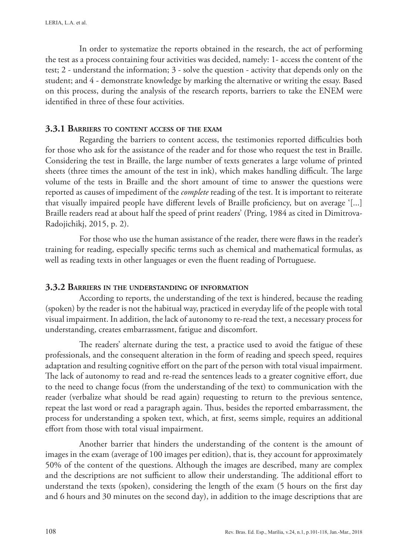In order to systematize the reports obtained in the research, the act of performing the test as a process containing four activities was decided, namely: 1- access the content of the test; 2 - understand the information; 3 - solve the question - activity that depends only on the student; and 4 - demonstrate knowledge by marking the alternative or writing the essay. Based on this process, during the analysis of the research reports, barriers to take the ENEM were identified in three of these four activities.

#### **3.3.1 Barriers to content access of the exam**

Regarding the barriers to content access, the testimonies reported difficulties both for those who ask for the assistance of the reader and for those who request the test in Braille. Considering the test in Braille, the large number of texts generates a large volume of printed sheets (three times the amount of the test in ink), which makes handling difficult. The large volume of the tests in Braille and the short amount of time to answer the questions were reported as causes of impediment of the *complete* reading of the test. It is important to reiterate that visually impaired people have different levels of Braille proficiency, but on average '[...] Braille readers read at about half the speed of print readers' (Pring, 1984 as cited in Dimitrova-Radojichikj, 2015, p. 2).

For those who use the human assistance of the reader, there were flaws in the reader's training for reading, especially specific terms such as chemical and mathematical formulas, as well as reading texts in other languages or even the fluent reading of Portuguese.

#### **3.3.2 Barriers in the understanding of information**

According to reports, the understanding of the text is hindered, because the reading (spoken) by the reader is not the habitual way, practiced in everyday life of the people with total visual impairment. In addition, the lack of autonomy to re-read the text, a necessary process for understanding, creates embarrassment, fatigue and discomfort.

The readers' alternate during the test, a practice used to avoid the fatigue of these professionals, and the consequent alteration in the form of reading and speech speed, requires adaptation and resulting cognitive effort on the part of the person with total visual impairment. The lack of autonomy to read and re-read the sentences leads to a greater cognitive effort, due to the need to change focus (from the understanding of the text) to communication with the reader (verbalize what should be read again) requesting to return to the previous sentence, repeat the last word or read a paragraph again. Thus, besides the reported embarrassment, the process for understanding a spoken text, which, at first, seems simple, requires an additional effort from those with total visual impairment.

Another barrier that hinders the understanding of the content is the amount of images in the exam (average of 100 images per edition), that is, they account for approximately 50% of the content of the questions. Although the images are described, many are complex and the descriptions are not sufficient to allow their understanding. The additional effort to understand the texts (spoken), considering the length of the exam (5 hours on the first day and 6 hours and 30 minutes on the second day), in addition to the image descriptions that are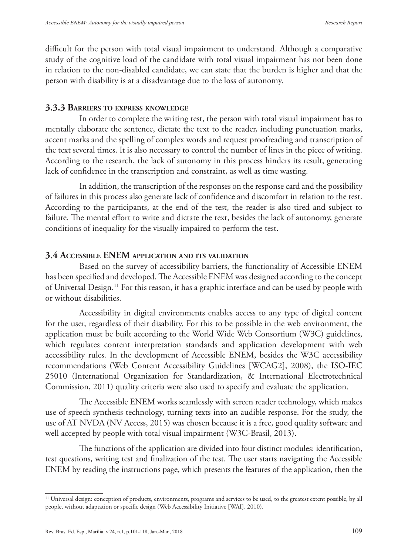difficult for the person with total visual impairment to understand. Although a comparative study of the cognitive load of the candidate with total visual impairment has not been done in relation to the non-disabled candidate, we can state that the burden is higher and that the person with disability is at a disadvantage due to the loss of autonomy.

#### **3.3.3 Barriers to express knowledge**

In order to complete the writing test, the person with total visual impairment has to mentally elaborate the sentence, dictate the text to the reader, including punctuation marks, accent marks and the spelling of complex words and request proofreading and transcription of the text several times. It is also necessary to control the number of lines in the piece of writing. According to the research, the lack of autonomy in this process hinders its result, generating lack of confidence in the transcription and constraint, as well as time wasting.

In addition, the transcription of the responses on the response card and the possibility of failures in this process also generate lack of confidence and discomfort in relation to the test. According to the participants, at the end of the test, the reader is also tired and subject to failure. The mental effort to write and dictate the text, besides the lack of autonomy, generate conditions of inequality for the visually impaired to perform the test.

#### **3.4 Accessible ENEM application and its validation**

Based on the survey of accessibility barriers, the functionality of Accessible ENEM has been specified and developed. The Accessible ENEM was designed according to the concept of Universal Design.11 For this reason, it has a graphic interface and can be used by people with or without disabilities.

Accessibility in digital environments enables access to any type of digital content for the user, regardless of their disability. For this to be possible in the web environment, the application must be built according to the World Wide Web Consortium (W3C) guidelines, which regulates content interpretation standards and application development with web accessibility rules. In the development of Accessible ENEM, besides the W3C accessibility recommendations (Web Content Accessibility Guidelines [WCAG2], 2008), the ISO-IEC 25010 (International Organization for Standardization, & International Electrotechnical Commission, 2011) quality criteria were also used to specify and evaluate the application.

The Accessible ENEM works seamlessly with screen reader technology, which makes use of speech synthesis technology, turning texts into an audible response. For the study, the use of AT NVDA (NV Access, 2015) was chosen because it is a free, good quality software and well accepted by people with total visual impairment (W3C-Brasil, 2013).

The functions of the application are divided into four distinct modules: identification, test questions, writing test and finalization of the test. The user starts navigating the Accessible ENEM by reading the instructions page, which presents the features of the application, then the

<sup>&</sup>lt;sup>11</sup> Universal design: conception of products, environments, programs and services to be used, to the greatest extent possible, by all people, without adaptation or specific design (Web Accessibility Initiative [WAI], 2010).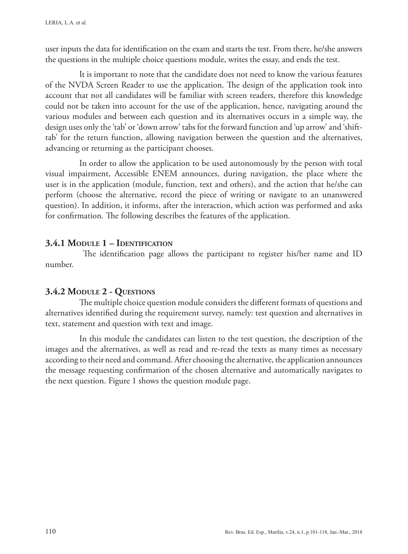user inputs the data for identification on the exam and starts the test. From there, he/she answers the questions in the multiple choice questions module, writes the essay, and ends the test.

It is important to note that the candidate does not need to know the various features of the NVDA Screen Reader to use the application. The design of the application took into account that not all candidates will be familiar with screen readers, therefore this knowledge could not be taken into account for the use of the application, hence, navigating around the various modules and between each question and its alternatives occurs in a simple way, the design uses only the 'tab' or 'down arrow' tabs for the forward function and 'up arrow' and 'shifttab' for the return function, allowing navigation between the question and the alternatives, advancing or returning as the participant chooses.

In order to allow the application to be used autonomously by the person with total visual impairment, Accessible ENEM announces, during navigation, the place where the user is in the application (module, function, text and others), and the action that he/she can perform (choose the alternative, record the piece of writing or navigate to an unanswered question). In addition, it informs, after the interaction, which action was performed and asks for confirmation. The following describes the features of the application.

# **3.4.1 Module 1 – Identification**

 The identification page allows the participant to register his/her name and ID number.

# **3.4.2 Module 2 - Questions**

The multiple choice question module considers the different formats of questions and alternatives identified during the requirement survey, namely: test question and alternatives in text, statement and question with text and image.

In this module the candidates can listen to the test question, the description of the images and the alternatives, as well as read and re-read the texts as many times as necessary according to their need and command. After choosing the alternative, the application announces the message requesting confirmation of the chosen alternative and automatically navigates to the next question. Figure 1 shows the question module page.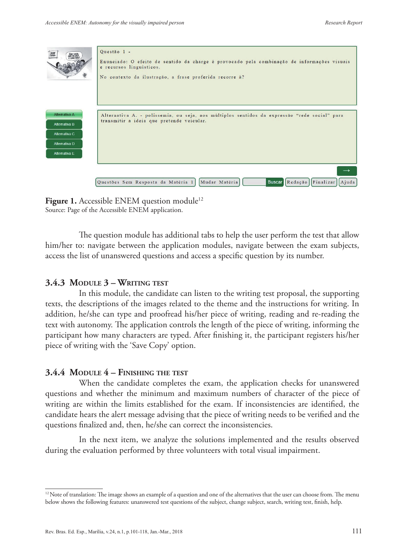| <b>JOCULU</b><br>REAL SOCIAL<br>Aga GM CASA<br>E CORM CORA!                       | Questão 1 -<br>Enunciado: O efeito de sentido da charge é provocado pela combinação de informações visuais<br>e recursos linguísticos.<br>No contexto da ilustração, a frase proferida recorre à? |
|-----------------------------------------------------------------------------------|---------------------------------------------------------------------------------------------------------------------------------------------------------------------------------------------------|
| Alternativa A<br>Alternativa B<br>Alternativa C<br>Alternativa D<br>Alternativa E | Alternativa A. - polissemia, ou seja, aos múltiplos sentidos da expressão "rede social" para<br>transmitir a ideia que pretende veicular.                                                         |
|                                                                                   | $\rightarrow$<br>Buscar Redação Finalizar Ajuda<br>Questões Sem Resposta da Matéria 1   Mudar Matéria                                                                                             |

**Figure 1.** Accessible ENEM question module<sup>12</sup> Source: Page of the Accessible ENEM application.

The question module has additional tabs to help the user perform the test that allow him/her to: navigate between the application modules, navigate between the exam subjects, access the list of unanswered questions and access a specific question by its number.

## **3.4.3 Module 3 – Writing test**

In this module, the candidate can listen to the writing test proposal, the supporting texts, the descriptions of the images related to the theme and the instructions for writing. In addition, he/she can type and proofread his/her piece of writing, reading and re-reading the text with autonomy. The application controls the length of the piece of writing, informing the participant how many characters are typed. After finishing it, the participant registers his/her piece of writing with the 'Save Copy' option.

## **3.4.4 Module 4 – Finishing the test**

When the candidate completes the exam, the application checks for unanswered questions and whether the minimum and maximum numbers of character of the piece of writing are within the limits established for the exam. If inconsistencies are identified, the candidate hears the alert message advising that the piece of writing needs to be verified and the questions finalized and, then, he/she can correct the inconsistencies.

In the next item, we analyze the solutions implemented and the results observed during the evaluation performed by three volunteers with total visual impairment.

<sup>&</sup>lt;sup>12</sup> Note of translation: The image shows an example of a question and one of the alternatives that the user can choose from. The menu below shows the following features: unanswered test questions of the subject, change subject, search, writing test, finish, help.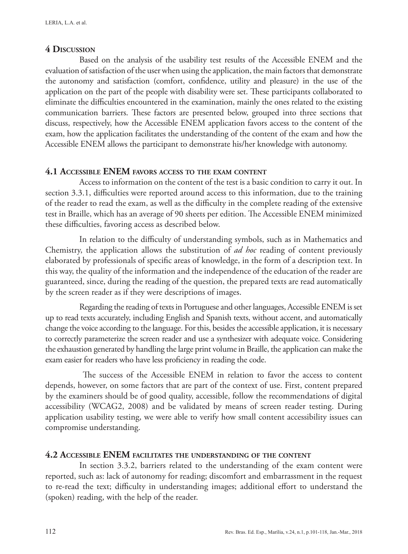# **4 Discussion**

Based on the analysis of the usability test results of the Accessible ENEM and the evaluation of satisfaction of the user when using the application, the main factors that demonstrate the autonomy and satisfaction (comfort, confidence, utility and pleasure) in the use of the application on the part of the people with disability were set. These participants collaborated to eliminate the difficulties encountered in the examination, mainly the ones related to the existing communication barriers. These factors are presented below, grouped into three sections that discuss, respectively, how the Accessible ENEM application favors access to the content of the exam, how the application facilitates the understanding of the content of the exam and how the Accessible ENEM allows the participant to demonstrate his/her knowledge with autonomy.

# **4.1 Accessible ENEM favors access to the exam content**

Access to information on the content of the test is a basic condition to carry it out. In section 3.3.1, difficulties were reported around access to this information, due to the training of the reader to read the exam, as well as the difficulty in the complete reading of the extensive test in Braille, which has an average of 90 sheets per edition. The Accessible ENEM minimized these difficulties, favoring access as described below.

In relation to the difficulty of understanding symbols, such as in Mathematics and Chemistry, the application allows the substitution of *ad hoc* reading of content previously elaborated by professionals of specific areas of knowledge, in the form of a description text. In this way, the quality of the information and the independence of the education of the reader are guaranteed, since, during the reading of the question, the prepared texts are read automatically by the screen reader as if they were descriptions of images.

Regarding the reading of texts in Portuguese and other languages, Accessible ENEM is set up to read texts accurately, including English and Spanish texts, without accent, and automatically change the voice according to the language. For this, besides the accessible application, it is necessary to correctly parameterize the screen reader and use a synthesizer with adequate voice. Considering the exhaustion generated by handling the large print volume in Braille, the application can make the exam easier for readers who have less proficiency in reading the code.

 The success of the Accessible ENEM in relation to favor the access to content depends, however, on some factors that are part of the context of use. First, content prepared by the examiners should be of good quality, accessible, follow the recommendations of digital accessibility (WCAG2, 2008) and be validated by means of screen reader testing. During application usability testing, we were able to verify how small content accessibility issues can compromise understanding.

# **4.2 Accessible ENEM facilitates the understanding of the content**

In section 3.3.2, barriers related to the understanding of the exam content were reported, such as: lack of autonomy for reading; discomfort and embarrassment in the request to re-read the text; difficulty in understanding images; additional effort to understand the (spoken) reading, with the help of the reader.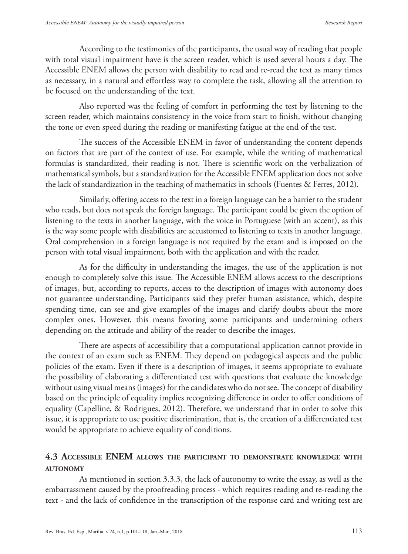According to the testimonies of the participants, the usual way of reading that people with total visual impairment have is the screen reader, which is used several hours a day. The Accessible ENEM allows the person with disability to read and re-read the text as many times as necessary, in a natural and effortless way to complete the task, allowing all the attention to be focused on the understanding of the text.

Also reported was the feeling of comfort in performing the test by listening to the screen reader, which maintains consistency in the voice from start to finish, without changing the tone or even speed during the reading or manifesting fatigue at the end of the test.

The success of the Accessible ENEM in favor of understanding the content depends on factors that are part of the context of use. For example, while the writing of mathematical formulas is standardized, their reading is not. There is scientific work on the verbalization of mathematical symbols, but a standardization for the Accessible ENEM application does not solve the lack of standardization in the teaching of mathematics in schools (Fuentes & Ferres, 2012).

Similarly, offering access to the text in a foreign language can be a barrier to the student who reads, but does not speak the foreign language. The participant could be given the option of listening to the texts in another language, with the voice in Portuguese (with an accent), as this is the way some people with disabilities are accustomed to listening to texts in another language. Oral comprehension in a foreign language is not required by the exam and is imposed on the person with total visual impairment, both with the application and with the reader.

As for the difficulty in understanding the images, the use of the application is not enough to completely solve this issue. The Accessible ENEM allows access to the descriptions of images, but, according to reports, access to the description of images with autonomy does not guarantee understanding. Participants said they prefer human assistance, which, despite spending time, can see and give examples of the images and clarify doubts about the more complex ones. However, this means favoring some participants and undermining others depending on the attitude and ability of the reader to describe the images.

There are aspects of accessibility that a computational application cannot provide in the context of an exam such as ENEM. They depend on pedagogical aspects and the public policies of the exam. Even if there is a description of images, it seems appropriate to evaluate the possibility of elaborating a differentiated test with questions that evaluate the knowledge without using visual means (images) for the candidates who do not see. The concept of disability based on the principle of equality implies recognizing difference in order to offer conditions of equality (Capelline, & Rodrigues, 2012). Therefore, we understand that in order to solve this issue, it is appropriate to use positive discrimination, that is, the creation of a differentiated test would be appropriate to achieve equality of conditions.

# **4.3 Accessible ENEM allows the participant to demonstrate knowledge with autonomy**

As mentioned in section 3.3.3, the lack of autonomy to write the essay, as well as the embarrassment caused by the proofreading process - which requires reading and re-reading the text - and the lack of confidence in the transcription of the response card and writing test are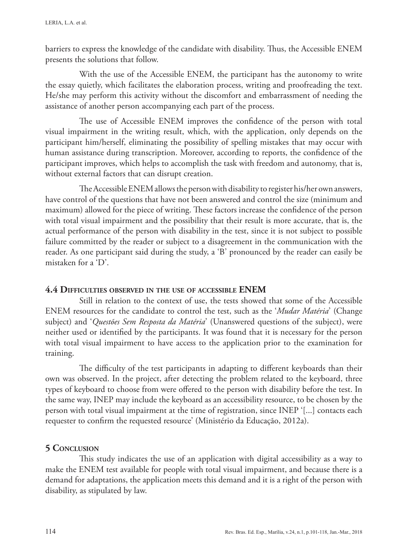barriers to express the knowledge of the candidate with disability. Thus, the Accessible ENEM presents the solutions that follow.

With the use of the Accessible ENEM, the participant has the autonomy to write the essay quietly, which facilitates the elaboration process, writing and proofreading the text. He/she may perform this activity without the discomfort and embarrassment of needing the assistance of another person accompanying each part of the process.

The use of Accessible ENEM improves the confidence of the person with total visual impairment in the writing result, which, with the application, only depends on the participant him/herself, eliminating the possibility of spelling mistakes that may occur with human assistance during transcription. Moreover, according to reports, the confidence of the participant improves, which helps to accomplish the task with freedom and autonomy, that is, without external factors that can disrupt creation.

The Accessible ENEM allows the person with disability to register his/her own answers, have control of the questions that have not been answered and control the size (minimum and maximum) allowed for the piece of writing. These factors increase the confidence of the person with total visual impairment and the possibility that their result is more accurate, that is, the actual performance of the person with disability in the test, since it is not subject to possible failure committed by the reader or subject to a disagreement in the communication with the reader. As one participant said during the study, a 'B' pronounced by the reader can easily be mistaken for a 'D'.

## **4.4 Difficulties observed in the use of accessible ENEM**

Still in relation to the context of use, the tests showed that some of the Accessible ENEM resources for the candidate to control the test, such as the '*Mudar Matéria*' (Change subject) and '*Questões Sem Resposta da Matéria*' (Unanswered questions of the subject), were neither used or identified by the participants. It was found that it is necessary for the person with total visual impairment to have access to the application prior to the examination for training.

The difficulty of the test participants in adapting to different keyboards than their own was observed. In the project, after detecting the problem related to the keyboard, three types of keyboard to choose from were offered to the person with disability before the test. In the same way, INEP may include the keyboard as an accessibility resource, to be chosen by the person with total visual impairment at the time of registration, since INEP '[...] contacts each requester to confirm the requested resource' (Ministério da Educação, 2012a).

# **5 Conclusion**

This study indicates the use of an application with digital accessibility as a way to make the ENEM test available for people with total visual impairment, and because there is a demand for adaptations, the application meets this demand and it is a right of the person with disability, as stipulated by law.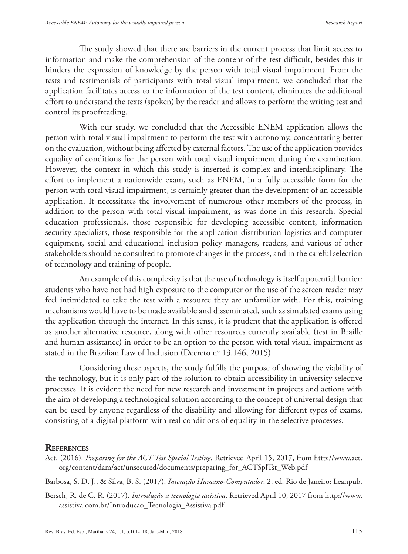The study showed that there are barriers in the current process that limit access to information and make the comprehension of the content of the test difficult, besides this it hinders the expression of knowledge by the person with total visual impairment. From the tests and testimonials of participants with total visual impairment, we concluded that the application facilitates access to the information of the test content, eliminates the additional effort to understand the texts (spoken) by the reader and allows to perform the writing test and control its proofreading.

With our study, we concluded that the Accessible ENEM application allows the person with total visual impairment to perform the test with autonomy, concentrating better on the evaluation, without being affected by external factors. The use of the application provides equality of conditions for the person with total visual impairment during the examination. However, the context in which this study is inserted is complex and interdisciplinary. The effort to implement a nationwide exam, such as ENEM, in a fully accessible form for the person with total visual impairment, is certainly greater than the development of an accessible application. It necessitates the involvement of numerous other members of the process, in addition to the person with total visual impairment, as was done in this research. Special education professionals, those responsible for developing accessible content, information security specialists, those responsible for the application distribution logistics and computer equipment, social and educational inclusion policy managers, readers, and various of other stakeholders should be consulted to promote changes in the process, and in the careful selection of technology and training of people.

An example of this complexity is that the use of technology is itself a potential barrier: students who have not had high exposure to the computer or the use of the screen reader may feel intimidated to take the test with a resource they are unfamiliar with. For this, training mechanisms would have to be made available and disseminated, such as simulated exams using the application through the internet. In this sense, it is prudent that the application is offered as another alternative resource, along with other resources currently available (test in Braille and human assistance) in order to be an option to the person with total visual impairment as stated in the Brazilian Law of Inclusion (Decreto nº 13.146, 2015).

Considering these aspects, the study fulfills the purpose of showing the viability of the technology, but it is only part of the solution to obtain accessibility in university selective processes. It is evident the need for new research and investment in projects and actions with the aim of developing a technological solution according to the concept of universal design that can be used by anyone regardless of the disability and allowing for different types of exams, consisting of a digital platform with real conditions of equality in the selective processes.

#### **References**

Act. (2016). *Preparing for the ACT Test Special Testing*. Retrieved April 15, 2017, from http://www.act. org/content/dam/act/unsecured/documents/preparing\_for\_ACTSplTst\_Web.pdf

Barbosa, S. D. J., & Silva, B. S. (2017). *Interação Humano-Computador*. 2. ed. Rio de Janeiro: Leanpub.

Bersch, R. de C. R. (2017). *Introdução à tecnologia assistiva*. Retrieved April 10, 2017 from http://www. assistiva.com.br/Introducao\_Tecnologia\_Assistiva.pdf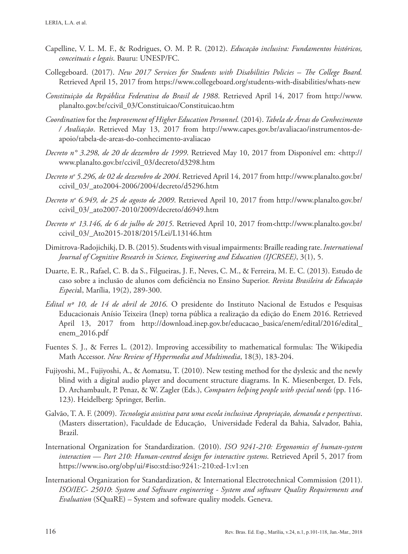- Capelline, V. L. M. F., & Rodrigues, O. M. P. R. (2012). *Educação inclusiva: Fundamentos históricos, conceituais e legais*. Bauru: UNESP/FC.
- Collegeboard. (2017). *New 2017 Services for Students with Disabilities Policies The College Board.* Retrieved April 15, 2017 from https://www.collegeboard.org/students-with-disabilities/whats-new
- *Constituição da República Federativa do Brasil de 1988*. Retrieved April 14, 2017 from http://www. planalto.gov.br/ccivil\_03/Constituicao/Constituicao.htm
- *Coordination* for the *Improvement of Higher Education Personnel.* (2014). *Tabela de Áreas do Conhecimento / Avaliação*. Retrieved May 13, 2017 from http://www.capes.gov.br/avaliacao/instrumentos-deapoio/tabela-de-areas-do-conhecimento-avaliacao
- *Decreto n° 3.298, de 20 de dezembro de 1999*. Retrieved May 10, 2017 from Disponível em: <http:// www.planalto.gov.br/ccivil\_03/decreto/d3298.htm
- *Decreto no 5.296, de 02 de dezembro de 2004*. Retrieved April 14, 2017 from http://www.planalto.gov.br/ ccivil\_03/\_ato2004-2006/2004/decreto/d5296.htm
- *Decreto no 6.949, de 25 de agosto de 2009*. Retrieved April 10, 2017 from http://www.planalto.gov.br/ ccivil\_03/\_ato2007-2010/2009/decreto/d6949.htm
- *Decreto no 13.146, de 6 de julho de 2015*. Retrieved April 10, 2017 from<http://www.planalto.gov.br/ ccivil\_03/\_Ato2015-2018/2015/Lei/L13146.htm
- Dimitrova-Radojichikj, D. B. (2015). Students with visual impairments: Braille reading rate.*International Journal of Cognitive Research in Science, Engineering and Education (IJCRSEE)*, 3(1), 5.
- Duarte, E. R., Rafael, C. B. da S., Filgueiras, J. F., Neves, C. M., & Ferreira, M. E. C. (2013). Estudo de caso sobre a inclusão de alunos com deficiência no Ensino Superior. *Revista Brasileira de Educação Especi*al, Marília, 19(2), 289-300.
- *Edital nº 10, de 14 de abril de 2016*. O presidente do Instituto Nacional de Estudos e Pesquisas Educacionais Anísio Teixeira (Inep) torna pública a realização da edição do Enem 2016. Retrieved April 13, 2017 from http://download.inep.gov.br/educacao\_basica/enem/edital/2016/edital\_ enem\_2016.pdf
- Fuentes S. J., & Ferres L. (2012). Improving accessibility to mathematical formulas: The Wikipedia Math Accessor. *New Review of Hypermedia and Multimedia*, 18(3), 183-204.
- Fujiyoshi, M., Fujiyoshi, A., & Aomatsu, T. (2010). New testing method for the dyslexic and the newly blind with a digital audio player and document structure diagrams. In K. Miesenberger, D. Fels, D. Archambault, P. Penaz, & W. Zagler (Eds.), *Computers helping people with special needs* (pp. 116- 123). Heidelberg: Springer, Berlin.
- Galvão, T. A. F. (2009). *Tecnologia assistiva para uma escola inclusiva: Apropriação, demanda e perspectivas*. (Masters dissertation), Faculdade de Educação, Universidade Federal da Bahia, Salvador, Bahia, Brazil.
- International Organization for Standardization. (2010). *ISO 9241-210: Ergonomics of human-system interaction — Part 210: Human-centred design for interactive systems*. Retrieved April 5, 2017 from https://www.iso.org/obp/ui/#iso:std:iso:9241:-210:ed-1:v1:en
- International Organization for Standardization, & International Electrotechnical Commission (2011). *ISO/IEC- 25010*: *System and Software engineering - System and software Quality Requirements and Evaluation* (SQuaRE) – System and software quality models. Geneva.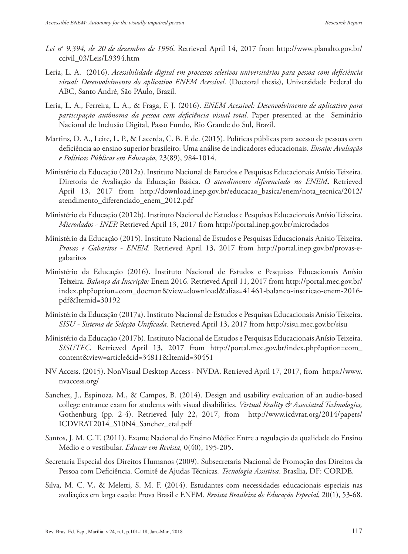- *Lei no 9.394, de 20 de dezembro de 1996*. Retrieved April 14, 2017 from http://www.planalto.gov.br/ ccivil\_03/Leis/L9394.htm
- Leria, L. A. (2016). *Acessibilidade digital em processos seletivos universitários para pessoa com deficiência visual: Desenvolvimento do aplicativo ENEM Acessível*. (Doctoral thesis), Universidade Federal do ABC, Santo André, São PAulo, Brazil.
- Leria, L. A., Ferreira, L. A., & Fraga, F. J. (2016). *ENEM Acessível: Desenvolvimento de aplicativo para participação autônoma da pessoa com deficiência visual total*. Paper presented at the Seminário Nacional de Inclusão Digital, Passo Fundo, Rio Grande do Sul, Brazil.
- Martins, D. A., Leite, L. P., & Lacerda, C. B. F. de. (2015). Políticas públicas para acesso de pessoas com deficiência ao ensino superior brasileiro: Uma análise de indicadores educacionais. *Ensaio: Avaliação e Políticas Públicas em Educação*, 23(89), 984-1014.
- Ministério da Educação (2012a). Instituto Nacional de Estudos e Pesquisas Educacionais Anísio Teixeira. Diretoria de Avaliação da Educação Básica. *O atendimento diferenciado no ENEM***.** Retrieved April 13, 2017 from http://download.inep.gov.br/educacao\_basica/enem/nota\_tecnica/2012/ atendimento\_diferenciado\_enem\_2012.pdf
- Ministério da Educação (2012b). Instituto Nacional de Estudos e Pesquisas Educacionais Anísio Teixeira. *Microdados - INEP.* Retrieved April 13, 2017 from http://portal.inep.gov.br/microdados
- Ministério da Educação (2015). Instituto Nacional de Estudos e Pesquisas Educacionais Anísio Teixeira. *Provas e Gabaritos - ENEM.* Retrieved April 13, 2017 from http://portal.inep.gov.br/provas-egabaritos
- Ministério da Educação (2016). Instituto Nacional de Estudos e Pesquisas Educacionais Anísio Teixeira. *Balanço da Inscrição:* Enem 2016. Retrieved April 11, 2017 from http://portal.mec.gov.br/ index.php?option=com\_docman&view=download&alias=41461-balanco-inscricao-enem-2016 pdf&Itemid=30192
- Ministério da Educação (2017a). Instituto Nacional de Estudos e Pesquisas Educacionais Anísio Teixeira. *SISU - Sistema de Seleção Unificada.* Retrieved April 13, 2017 from http://sisu.mec.gov.br/sisu
- Ministério da Educação (2017b). Instituto Nacional de Estudos e Pesquisas Educacionais Anísio Teixeira. *SISUTEC.* Retrieved April 13, 2017 from http://portal.mec.gov.br/index.php?option=com\_ content&view=article&id=34811&Itemid=30451
- NV Access. (2015). NonVisual Desktop Access NVDA. Retrieved April 17, 2017, from https://www. nvaccess.org/
- Sanchez, J., Espinoza, M., & Campos, B. (2014). Design and usability evaluation of an audio-based college entrance exam for students with visual disabilities. *Virtual Reality & Associated Technologies,*  Gothenburg (pp. 2-4). Retrieved July 22, 2017, from http://www.icdvrat.org/2014/papers/ ICDVRAT2014\_S10N4\_Sanchez\_etal.pdf
- Santos, J. M. C. T. (2011). Exame Nacional do Ensino Médio: Entre a regulação da qualidade do Ensino Médio e o vestibular. *Educar em Revista*, 0(40), 195-205.
- Secretaria Especial dos Direitos Humanos (2009). Subsecretaria Nacional de Promoção dos Direitos da Pessoa com Deficiência. Comitê de Ajudas Técnicas*. Tecnologia Assistiva*. Brasília, DF: CORDE.
- Silva, M. C. V., & Meletti, S. M. F. (2014). Estudantes com necessidades educacionais especiais nas avaliações em larga escala: Prova Brasil e ENEM. *Revista Brasileira de Educação Especial*, 20(1), 53-68.